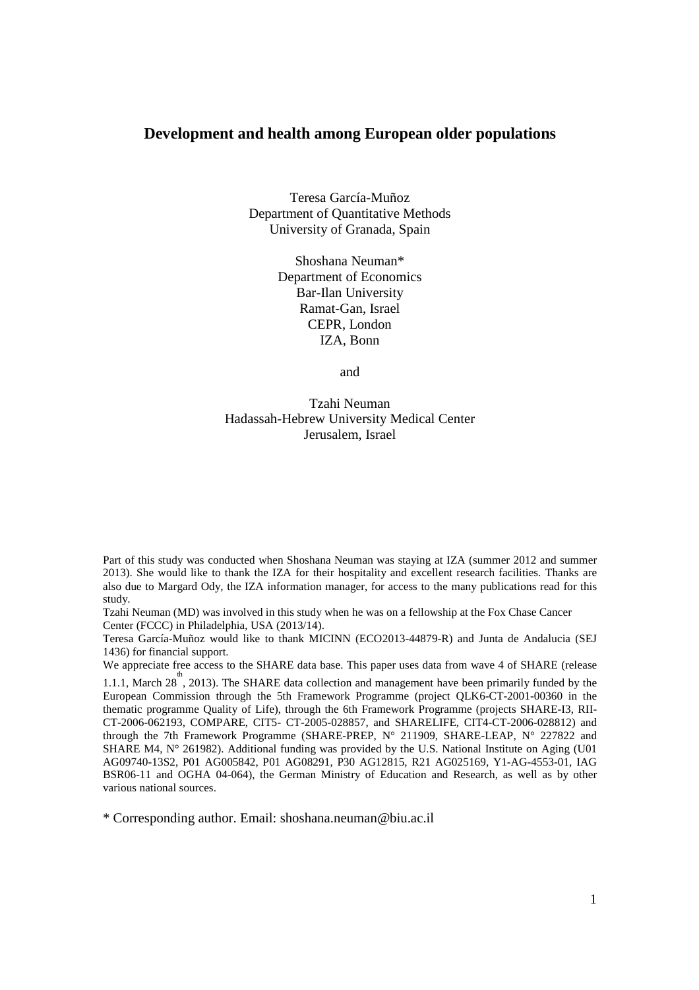### **Development and health among European older populations**

Teresa García-Muñoz Department of Quantitative Methods University of Granada, Spain

> Shoshana Neuman\* Department of Economics Bar-Ilan University Ramat-Gan, Israel CEPR, London IZA, Bonn

> > and

Tzahi Neuman Hadassah-Hebrew University Medical Center Jerusalem, Israel

Part of this study was conducted when Shoshana Neuman was staying at IZA (summer 2012 and summer 2013). She would like to thank the IZA for their hospitality and excellent research facilities. Thanks are also due to Margard Ody, the IZA information manager, for access to the many publications read for this study.

Tzahi Neuman (MD) was involved in this study when he was on a fellowship at the Fox Chase Cancer Center (FCCC) in Philadelphia, USA (2013/14).

Teresa García-Muñoz would like to thank MICINN (ECO2013-44879-R) and Junta de Andalucia (SEJ 1436) for financial support.

We appreciate free access to the SHARE data base. This paper uses data from wave 4 of SHARE (release

1.1.1, March  $28^{\text{th}}$ , 2013). The SHARE data collection and management have been primarily funded by the European Commission through the 5th Framework Programme (project QLK6-CT-2001-00360 in the thematic programme Quality of Life), through the 6th Framework Programme (projects SHARE-I3, RII-CT-2006-062193, COMPARE, CIT5- CT-2005-028857, and SHARELIFE, CIT4-CT-2006-028812) and through the 7th Framework Programme (SHARE-PREP, N° 211909, SHARE-LEAP, N° 227822 and SHARE M4,  $N^{\circ}$  261982). Additional funding was provided by the U.S. National Institute on Aging (U01) AG09740-13S2, P01 AG005842, P01 AG08291, P30 AG12815, R21 AG025169, Y1-AG-4553-01, IAG BSR06-11 and OGHA 04-064), the German Ministry of Education and Research, as well as by other various national sources.

\* Corresponding author. Email: shoshana.neuman@biu.ac.il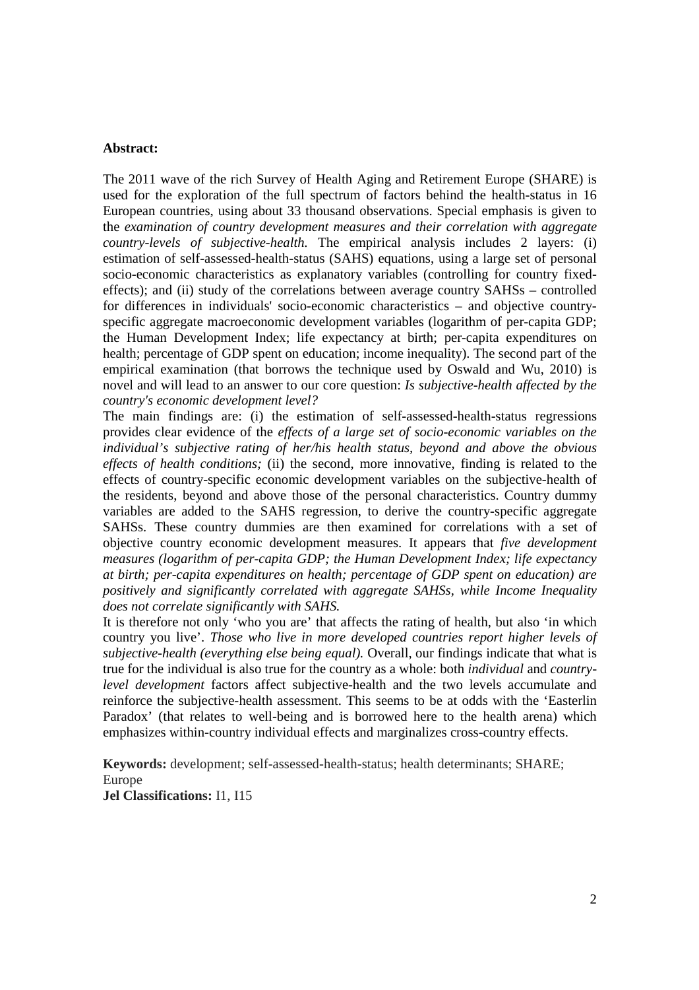#### **Abstract:**

The 2011 wave of the rich Survey of Health Aging and Retirement Europe (SHARE) is used for the exploration of the full spectrum of factors behind the health-status in 16 European countries, using about 33 thousand observations. Special emphasis is given to the *examination of country development measures and their correlation with aggregate country-levels of subjective-health.* The empirical analysis includes 2 layers: (i) estimation of self-assessed-health-status (SAHS) equations, using a large set of personal socio-economic characteristics as explanatory variables (controlling for country fixedeffects); and (ii) study of the correlations between average country SAHSs – controlled for differences in individuals' socio-economic characteristics – and objective countryspecific aggregate macroeconomic development variables (logarithm of per-capita GDP; the Human Development Index; life expectancy at birth; per-capita expenditures on health; percentage of GDP spent on education; income inequality). The second part of the empirical examination (that borrows the technique used by Oswald and Wu, 2010) is novel and will lead to an answer to our core question: *Is subjective-health affected by the country's economic development level?* 

The main findings are: (i) the estimation of self-assessed-health-status regressions provides clear evidence of the *effects of a large set of socio-economic variables on the individual's subjective rating of her/his health status, beyond and above the obvious effects of health conditions;* (ii) the second, more innovative, finding is related to the effects of country-specific economic development variables on the subjective-health of the residents, beyond and above those of the personal characteristics. Country dummy variables are added to the SAHS regression, to derive the country-specific aggregate SAHSs. These country dummies are then examined for correlations with a set of objective country economic development measures. It appears that *five development measures (logarithm of per-capita GDP; the Human Development Index; life expectancy at birth; per-capita expenditures on health; percentage of GDP spent on education) are positively and significantly correlated with aggregate SAHSs, while Income Inequality does not correlate significantly with SAHS.*

It is therefore not only 'who you are' that affects the rating of health, but also 'in which country you live'. *Those who live in more developed countries report higher levels of subjective-health (everything else being equal).* Overall, our findings indicate that what is true for the individual is also true for the country as a whole: both *individual* and *countrylevel development* factors affect subjective-health and the two levels accumulate and reinforce the subjective-health assessment. This seems to be at odds with the 'Easterlin Paradox' (that relates to well-being and is borrowed here to the health arena) which emphasizes within-country individual effects and marginalizes cross-country effects.

**Keywords:** development; self-assessed-health-status; health determinants; SHARE; Europe

**Jel Classifications:** I1, I15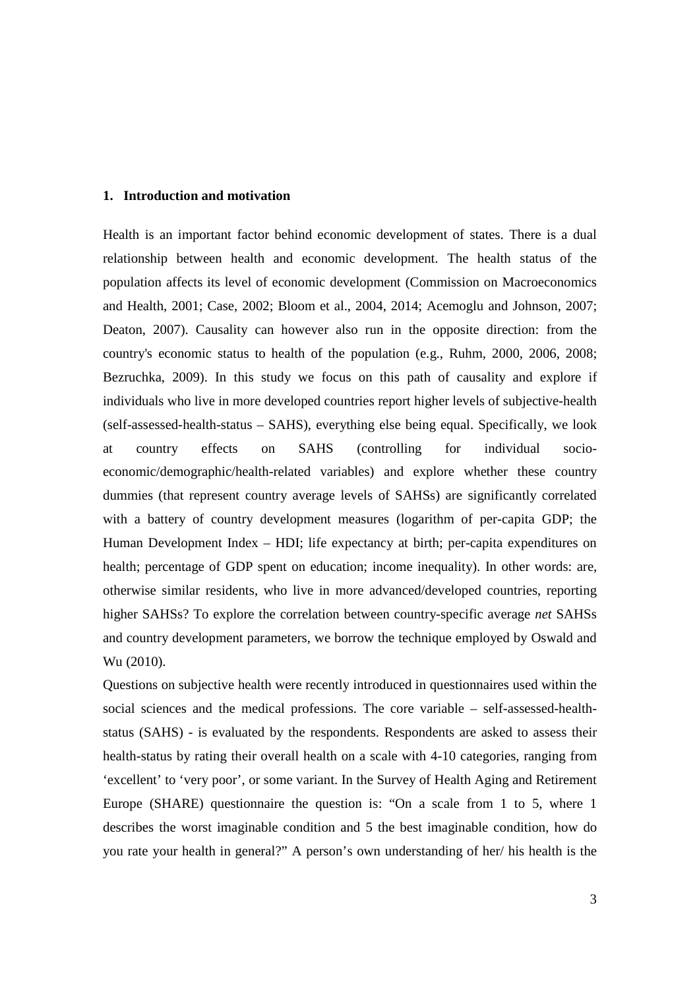#### **1. Introduction and motivation**

Health is an important factor behind economic development of states. There is a dual relationship between health and economic development. The health status of the population affects its level of economic development (Commission on Macroeconomics and Health, 2001; Case, 2002; Bloom et al., 2004, 2014; Acemoglu and Johnson, 2007; Deaton, 2007). Causality can however also run in the opposite direction: from the country's economic status to health of the population (e.g., Ruhm, 2000, 2006, 2008; Bezruchka, 2009). In this study we focus on this path of causality and explore if individuals who live in more developed countries report higher levels of subjective-health (self-assessed-health-status – SAHS), everything else being equal. Specifically, we look at country effects on SAHS (controlling for individual socioeconomic/demographic/health-related variables) and explore whether these country dummies (that represent country average levels of SAHSs) are significantly correlated with a battery of country development measures (logarithm of per-capita GDP; the Human Development Index – HDI; life expectancy at birth; per-capita expenditures on health; percentage of GDP spent on education; income inequality). In other words: are, otherwise similar residents, who live in more advanced/developed countries, reporting higher SAHSs? To explore the correlation between country-specific average *net* SAHSs and country development parameters, we borrow the technique employed by Oswald and Wu (2010).

Questions on subjective health were recently introduced in questionnaires used within the social sciences and the medical professions. The core variable – self-assessed-healthstatus (SAHS) - is evaluated by the respondents. Respondents are asked to assess their health-status by rating their overall health on a scale with 4-10 categories, ranging from 'excellent' to 'very poor', or some variant. In the Survey of Health Aging and Retirement Europe (SHARE) questionnaire the question is: "On a scale from 1 to 5, where 1 describes the worst imaginable condition and 5 the best imaginable condition, how do you rate your health in general?" A person's own understanding of her/ his health is the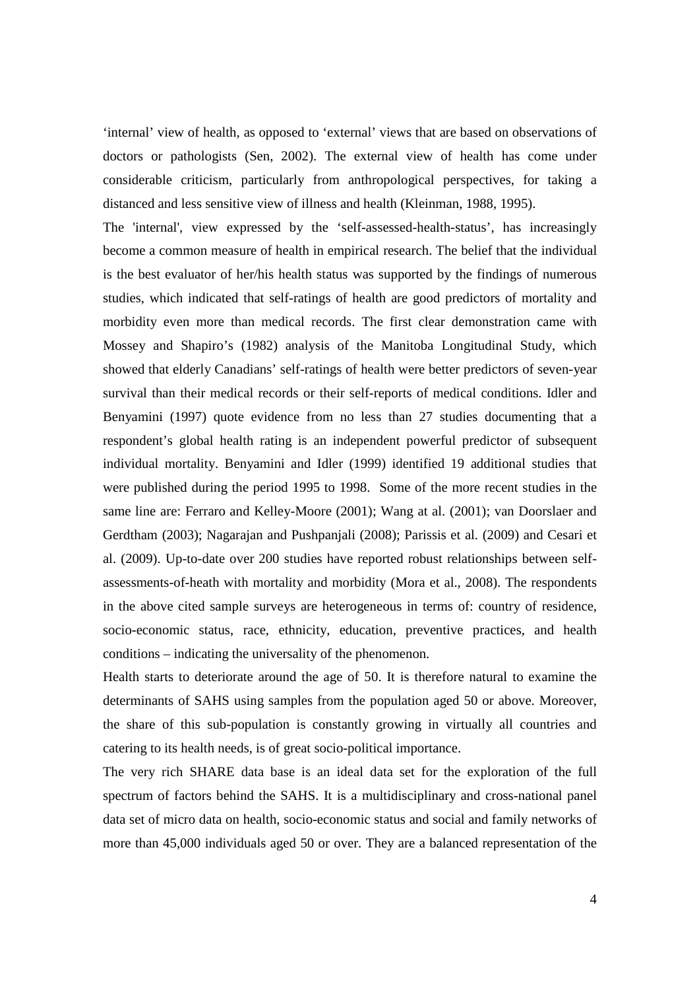'internal' view of health, as opposed to 'external' views that are based on observations of doctors or pathologists (Sen, 2002). The external view of health has come under considerable criticism, particularly from anthropological perspectives, for taking a distanced and less sensitive view of illness and health (Kleinman, 1988, 1995).

The 'internal', view expressed by the 'self-assessed-health-status', has increasingly become a common measure of health in empirical research. The belief that the individual is the best evaluator of her/his health status was supported by the findings of numerous studies, which indicated that self-ratings of health are good predictors of mortality and morbidity even more than medical records. The first clear demonstration came with Mossey and Shapiro's (1982) analysis of the Manitoba Longitudinal Study, which showed that elderly Canadians' self-ratings of health were better predictors of seven-year survival than their medical records or their self-reports of medical conditions. Idler and Benyamini (1997) quote evidence from no less than 27 studies documenting that a respondent's global health rating is an independent powerful predictor of subsequent individual mortality. Benyamini and Idler (1999) identified 19 additional studies that were published during the period 1995 to 1998. Some of the more recent studies in the same line are: Ferraro and Kelley-Moore (2001); Wang at al. (2001); van Doorslaer and Gerdtham (2003); Nagarajan and Pushpanjali (2008); Parissis et al. (2009) and Cesari et al. (2009). Up-to-date over 200 studies have reported robust relationships between selfassessments-of-heath with mortality and morbidity (Mora et al., 2008). The respondents in the above cited sample surveys are heterogeneous in terms of: country of residence, socio-economic status, race, ethnicity, education, preventive practices, and health conditions – indicating the universality of the phenomenon.

Health starts to deteriorate around the age of 50. It is therefore natural to examine the determinants of SAHS using samples from the population aged 50 or above. Moreover, the share of this sub-population is constantly growing in virtually all countries and catering to its health needs, is of great socio-political importance.

The very rich SHARE data base is an ideal data set for the exploration of the full spectrum of factors behind the SAHS. It is a multidisciplinary and cross-national panel data set of micro data on health, socio-economic status and social and family networks of more than 45,000 individuals aged 50 or over. They are a balanced representation of the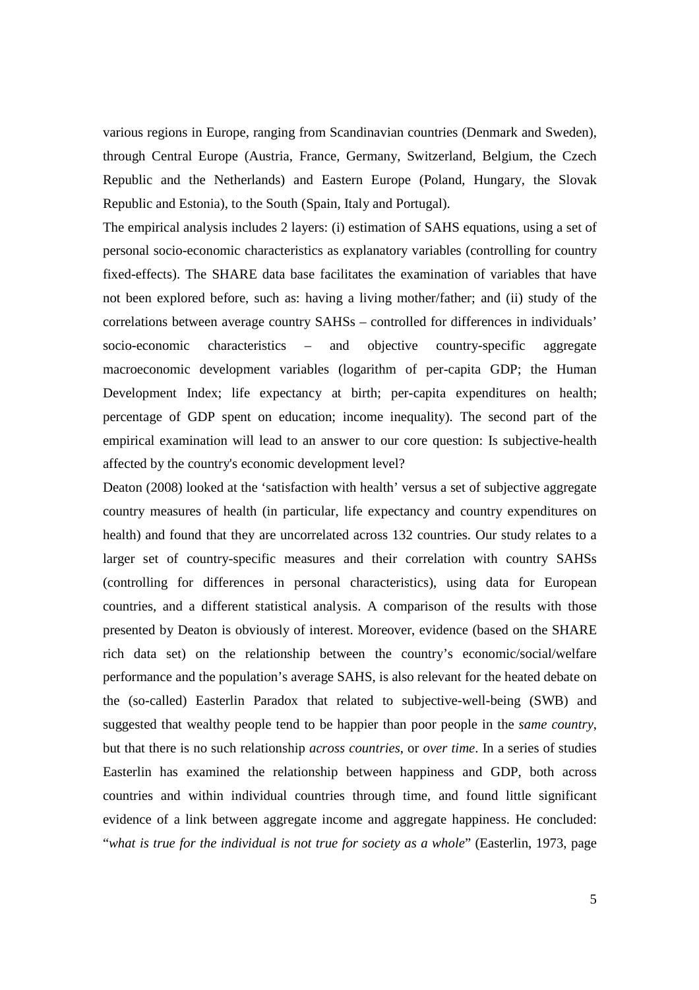various regions in Europe, ranging from Scandinavian countries (Denmark and Sweden), through Central Europe (Austria, France, Germany, Switzerland, Belgium, the Czech Republic and the Netherlands) and Eastern Europe (Poland, Hungary, the Slovak Republic and Estonia), to the South (Spain, Italy and Portugal).

The empirical analysis includes 2 layers: (i) estimation of SAHS equations, using a set of personal socio-economic characteristics as explanatory variables (controlling for country fixed-effects). The SHARE data base facilitates the examination of variables that have not been explored before, such as: having a living mother/father; and (ii) study of the correlations between average country SAHSs – controlled for differences in individuals' socio-economic characteristics – and objective country-specific aggregate macroeconomic development variables (logarithm of per-capita GDP; the Human Development Index; life expectancy at birth; per-capita expenditures on health; percentage of GDP spent on education; income inequality). The second part of the empirical examination will lead to an answer to our core question: Is subjective-health affected by the country's economic development level?

Deaton (2008) looked at the 'satisfaction with health' versus a set of subjective aggregate country measures of health (in particular, life expectancy and country expenditures on health) and found that they are uncorrelated across 132 countries. Our study relates to a larger set of country-specific measures and their correlation with country SAHSs (controlling for differences in personal characteristics), using data for European countries, and a different statistical analysis. A comparison of the results with those presented by Deaton is obviously of interest. Moreover, evidence (based on the SHARE rich data set) on the relationship between the country's economic/social/welfare performance and the population's average SAHS, is also relevant for the heated debate on the (so-called) Easterlin Paradox that related to subjective-well-being (SWB) and suggested that wealthy people tend to be happier than poor people in the *same country*, but that there is no such relationship *across countries*, or *over time*. In a series of studies Easterlin has examined the relationship between happiness and GDP, both across countries and within individual countries through time, and found little significant evidence of a link between aggregate income and aggregate happiness. He concluded: "*what is true for the individual is not true for society as a whole*" (Easterlin, 1973, page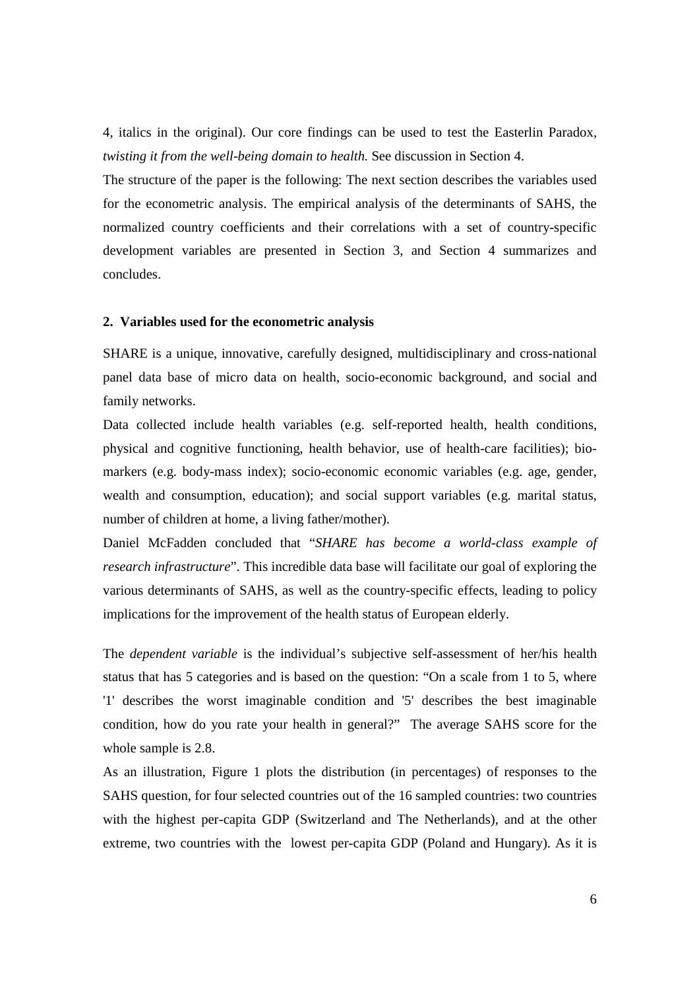4, italics in the original). Our core findings can be used to test the Easterlin Paradox, *twisting it from the well-being domain to health.* See discussion in Section 4.

The structure of the paper is the following: The next section describes the variables used for the econometric analysis. The empirical analysis of the determinants of SAHS, the normalized country coefficients and their correlations with a set of country-specific development variables are presented in Section 3, and Section 4 summarizes and concludes.

#### **2. Variables used for the econometric analysis**

SHARE is a unique, innovative, carefully designed, multidisciplinary and cross-national panel data base of micro data on health, socio-economic background, and social and family networks.

Data collected include health variables (e.g. self-reported health, health conditions, physical and cognitive functioning, health behavior, use of health-care facilities); biomarkers (e.g. body-mass index); socio-economic economic variables (e.g. age, gender, wealth and consumption, education); and social support variables (e.g. marital status, number of children at home, a living father/mother).

Daniel McFadden concluded that "*SHARE has become a world-class example of research infrastructure*". This incredible data base will facilitate our goal of exploring the various determinants of SAHS, as well as the country-specific effects, leading to policy implications for the improvement of the health status of European elderly.

The *dependent variable* is the individual's subjective self-assessment of her/his health status that has 5 categories and is based on the question: "On a scale from 1 to 5, where '1' describes the worst imaginable condition and '5' describes the best imaginable condition, how do you rate your health in general?" The average SAHS score for the whole sample is 2.8.

As an illustration, Figure 1 plots the distribution (in percentages) of responses to the SAHS question, for four selected countries out of the 16 sampled countries: two countries with the highest per-capita GDP (Switzerland and The Netherlands), and at the other extreme, two countries with the lowest per-capita GDP (Poland and Hungary). As it is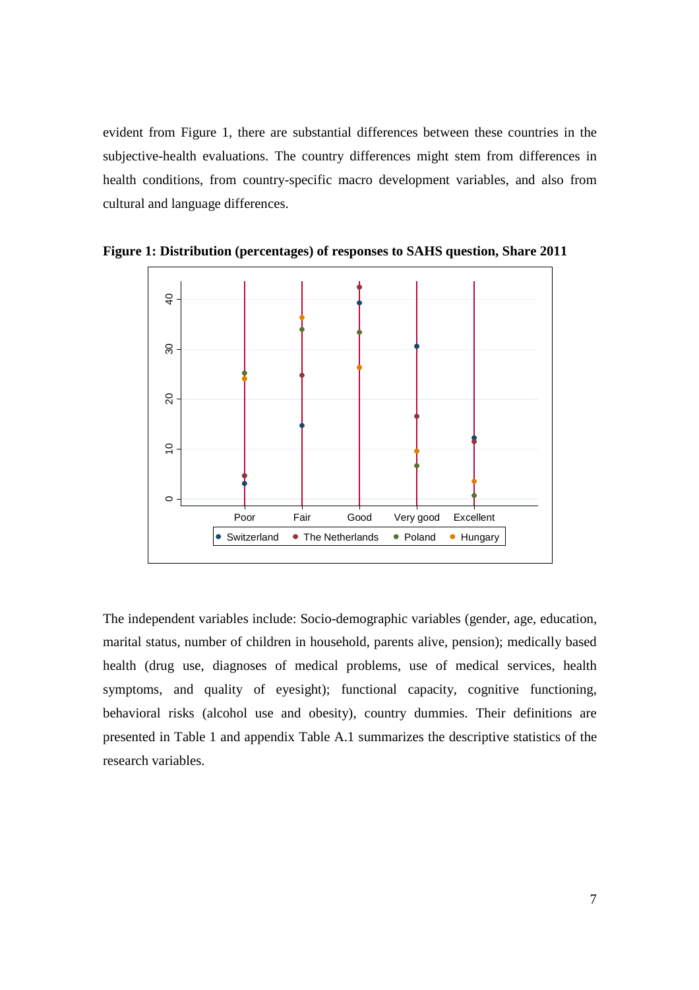evident from Figure 1, there are substantial differences between these countries in the subjective-health evaluations. The country differences might stem from differences in health conditions, from country-specific macro development variables, and also from cultural and language differences.



**Figure 1: Distribution (percentages) of responses to SAHS question, Share 2011** 

The independent variables include: Socio-demographic variables (gender, age, education, marital status, number of children in household, parents alive, pension); medically based health (drug use, diagnoses of medical problems, use of medical services, health symptoms, and quality of eyesight); functional capacity, cognitive functioning, behavioral risks (alcohol use and obesity), country dummies. Their definitions are presented in Table 1 and appendix Table A.1 summarizes the descriptive statistics of the research variables.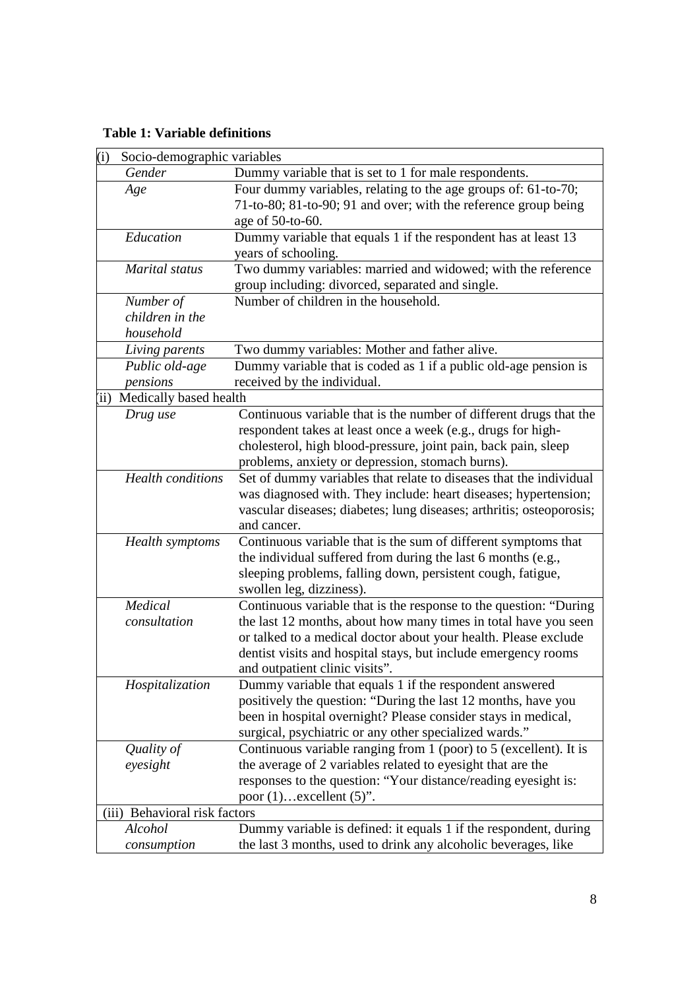# **Table 1: Variable definitions**

| Gender<br>Dummy variable that is set to 1 for male respondents.<br>Four dummy variables, relating to the age groups of: 61-to-70;<br>Age<br>71-to-80; 81-to-90; 91 and over; with the reference group being<br>age of 50-to-60.<br>Education<br>Dummy variable that equals 1 if the respondent has at least 13<br>years of schooling.<br>Two dummy variables: married and widowed; with the reference<br>Marital status<br>group including: divorced, separated and single.<br>Number of children in the household.<br>Number of<br>children in the<br>household<br>Two dummy variables: Mother and father alive.<br>Living parents<br>Dummy variable that is coded as 1 if a public old-age pension is<br>Public old-age<br>received by the individual.<br>pensions<br>(ii) Medically based health<br>Continuous variable that is the number of different drugs that the<br>Drug use<br>respondent takes at least once a week (e.g., drugs for high-<br>cholesterol, high blood-pressure, joint pain, back pain, sleep<br>problems, anxiety or depression, stomach burns).<br><b>Health</b> conditions<br>Set of dummy variables that relate to diseases that the individual<br>was diagnosed with. They include: heart diseases; hypertension;<br>vascular diseases; diabetes; lung diseases; arthritis; osteoporosis; | Socio-demographic variables<br>(i) |  |
|--------------------------------------------------------------------------------------------------------------------------------------------------------------------------------------------------------------------------------------------------------------------------------------------------------------------------------------------------------------------------------------------------------------------------------------------------------------------------------------------------------------------------------------------------------------------------------------------------------------------------------------------------------------------------------------------------------------------------------------------------------------------------------------------------------------------------------------------------------------------------------------------------------------------------------------------------------------------------------------------------------------------------------------------------------------------------------------------------------------------------------------------------------------------------------------------------------------------------------------------------------------------------------------------------------------------------|------------------------------------|--|
|                                                                                                                                                                                                                                                                                                                                                                                                                                                                                                                                                                                                                                                                                                                                                                                                                                                                                                                                                                                                                                                                                                                                                                                                                                                                                                                          |                                    |  |
|                                                                                                                                                                                                                                                                                                                                                                                                                                                                                                                                                                                                                                                                                                                                                                                                                                                                                                                                                                                                                                                                                                                                                                                                                                                                                                                          |                                    |  |
|                                                                                                                                                                                                                                                                                                                                                                                                                                                                                                                                                                                                                                                                                                                                                                                                                                                                                                                                                                                                                                                                                                                                                                                                                                                                                                                          |                                    |  |
|                                                                                                                                                                                                                                                                                                                                                                                                                                                                                                                                                                                                                                                                                                                                                                                                                                                                                                                                                                                                                                                                                                                                                                                                                                                                                                                          |                                    |  |
|                                                                                                                                                                                                                                                                                                                                                                                                                                                                                                                                                                                                                                                                                                                                                                                                                                                                                                                                                                                                                                                                                                                                                                                                                                                                                                                          |                                    |  |
|                                                                                                                                                                                                                                                                                                                                                                                                                                                                                                                                                                                                                                                                                                                                                                                                                                                                                                                                                                                                                                                                                                                                                                                                                                                                                                                          |                                    |  |
|                                                                                                                                                                                                                                                                                                                                                                                                                                                                                                                                                                                                                                                                                                                                                                                                                                                                                                                                                                                                                                                                                                                                                                                                                                                                                                                          |                                    |  |
|                                                                                                                                                                                                                                                                                                                                                                                                                                                                                                                                                                                                                                                                                                                                                                                                                                                                                                                                                                                                                                                                                                                                                                                                                                                                                                                          |                                    |  |
|                                                                                                                                                                                                                                                                                                                                                                                                                                                                                                                                                                                                                                                                                                                                                                                                                                                                                                                                                                                                                                                                                                                                                                                                                                                                                                                          |                                    |  |
|                                                                                                                                                                                                                                                                                                                                                                                                                                                                                                                                                                                                                                                                                                                                                                                                                                                                                                                                                                                                                                                                                                                                                                                                                                                                                                                          |                                    |  |
|                                                                                                                                                                                                                                                                                                                                                                                                                                                                                                                                                                                                                                                                                                                                                                                                                                                                                                                                                                                                                                                                                                                                                                                                                                                                                                                          |                                    |  |
|                                                                                                                                                                                                                                                                                                                                                                                                                                                                                                                                                                                                                                                                                                                                                                                                                                                                                                                                                                                                                                                                                                                                                                                                                                                                                                                          |                                    |  |
|                                                                                                                                                                                                                                                                                                                                                                                                                                                                                                                                                                                                                                                                                                                                                                                                                                                                                                                                                                                                                                                                                                                                                                                                                                                                                                                          |                                    |  |
|                                                                                                                                                                                                                                                                                                                                                                                                                                                                                                                                                                                                                                                                                                                                                                                                                                                                                                                                                                                                                                                                                                                                                                                                                                                                                                                          |                                    |  |
|                                                                                                                                                                                                                                                                                                                                                                                                                                                                                                                                                                                                                                                                                                                                                                                                                                                                                                                                                                                                                                                                                                                                                                                                                                                                                                                          |                                    |  |
|                                                                                                                                                                                                                                                                                                                                                                                                                                                                                                                                                                                                                                                                                                                                                                                                                                                                                                                                                                                                                                                                                                                                                                                                                                                                                                                          |                                    |  |
|                                                                                                                                                                                                                                                                                                                                                                                                                                                                                                                                                                                                                                                                                                                                                                                                                                                                                                                                                                                                                                                                                                                                                                                                                                                                                                                          |                                    |  |
|                                                                                                                                                                                                                                                                                                                                                                                                                                                                                                                                                                                                                                                                                                                                                                                                                                                                                                                                                                                                                                                                                                                                                                                                                                                                                                                          |                                    |  |
|                                                                                                                                                                                                                                                                                                                                                                                                                                                                                                                                                                                                                                                                                                                                                                                                                                                                                                                                                                                                                                                                                                                                                                                                                                                                                                                          |                                    |  |
|                                                                                                                                                                                                                                                                                                                                                                                                                                                                                                                                                                                                                                                                                                                                                                                                                                                                                                                                                                                                                                                                                                                                                                                                                                                                                                                          |                                    |  |
|                                                                                                                                                                                                                                                                                                                                                                                                                                                                                                                                                                                                                                                                                                                                                                                                                                                                                                                                                                                                                                                                                                                                                                                                                                                                                                                          |                                    |  |
|                                                                                                                                                                                                                                                                                                                                                                                                                                                                                                                                                                                                                                                                                                                                                                                                                                                                                                                                                                                                                                                                                                                                                                                                                                                                                                                          |                                    |  |
| and cancer.                                                                                                                                                                                                                                                                                                                                                                                                                                                                                                                                                                                                                                                                                                                                                                                                                                                                                                                                                                                                                                                                                                                                                                                                                                                                                                              |                                    |  |
| <b>Health</b> symptoms<br>Continuous variable that is the sum of different symptoms that                                                                                                                                                                                                                                                                                                                                                                                                                                                                                                                                                                                                                                                                                                                                                                                                                                                                                                                                                                                                                                                                                                                                                                                                                                 |                                    |  |
| the individual suffered from during the last 6 months (e.g.,                                                                                                                                                                                                                                                                                                                                                                                                                                                                                                                                                                                                                                                                                                                                                                                                                                                                                                                                                                                                                                                                                                                                                                                                                                                             |                                    |  |
| sleeping problems, falling down, persistent cough, fatigue,                                                                                                                                                                                                                                                                                                                                                                                                                                                                                                                                                                                                                                                                                                                                                                                                                                                                                                                                                                                                                                                                                                                                                                                                                                                              |                                    |  |
| swollen leg, dizziness).                                                                                                                                                                                                                                                                                                                                                                                                                                                                                                                                                                                                                                                                                                                                                                                                                                                                                                                                                                                                                                                                                                                                                                                                                                                                                                 |                                    |  |
| Medical<br>Continuous variable that is the response to the question: "During                                                                                                                                                                                                                                                                                                                                                                                                                                                                                                                                                                                                                                                                                                                                                                                                                                                                                                                                                                                                                                                                                                                                                                                                                                             |                                    |  |
| the last 12 months, about how many times in total have you seen<br>consultation                                                                                                                                                                                                                                                                                                                                                                                                                                                                                                                                                                                                                                                                                                                                                                                                                                                                                                                                                                                                                                                                                                                                                                                                                                          |                                    |  |
| or talked to a medical doctor about your health. Please exclude                                                                                                                                                                                                                                                                                                                                                                                                                                                                                                                                                                                                                                                                                                                                                                                                                                                                                                                                                                                                                                                                                                                                                                                                                                                          |                                    |  |
| dentist visits and hospital stays, but include emergency rooms                                                                                                                                                                                                                                                                                                                                                                                                                                                                                                                                                                                                                                                                                                                                                                                                                                                                                                                                                                                                                                                                                                                                                                                                                                                           |                                    |  |
| and outpatient clinic visits".                                                                                                                                                                                                                                                                                                                                                                                                                                                                                                                                                                                                                                                                                                                                                                                                                                                                                                                                                                                                                                                                                                                                                                                                                                                                                           |                                    |  |
| Hospitalization<br>Dummy variable that equals 1 if the respondent answered                                                                                                                                                                                                                                                                                                                                                                                                                                                                                                                                                                                                                                                                                                                                                                                                                                                                                                                                                                                                                                                                                                                                                                                                                                               |                                    |  |
| positively the question: "During the last 12 months, have you<br>been in hospital overnight? Please consider stays in medical,                                                                                                                                                                                                                                                                                                                                                                                                                                                                                                                                                                                                                                                                                                                                                                                                                                                                                                                                                                                                                                                                                                                                                                                           |                                    |  |
| surgical, psychiatric or any other specialized wards."                                                                                                                                                                                                                                                                                                                                                                                                                                                                                                                                                                                                                                                                                                                                                                                                                                                                                                                                                                                                                                                                                                                                                                                                                                                                   |                                    |  |
| Continuous variable ranging from 1 (poor) to 5 (excellent). It is<br>Quality of                                                                                                                                                                                                                                                                                                                                                                                                                                                                                                                                                                                                                                                                                                                                                                                                                                                                                                                                                                                                                                                                                                                                                                                                                                          |                                    |  |
| the average of 2 variables related to eyesight that are the<br>eyesight                                                                                                                                                                                                                                                                                                                                                                                                                                                                                                                                                                                                                                                                                                                                                                                                                                                                                                                                                                                                                                                                                                                                                                                                                                                  |                                    |  |
| responses to the question: "Your distance/reading eyesight is:                                                                                                                                                                                                                                                                                                                                                                                                                                                                                                                                                                                                                                                                                                                                                                                                                                                                                                                                                                                                                                                                                                                                                                                                                                                           |                                    |  |
| poor $(1)$ excellent $(5)$ ".                                                                                                                                                                                                                                                                                                                                                                                                                                                                                                                                                                                                                                                                                                                                                                                                                                                                                                                                                                                                                                                                                                                                                                                                                                                                                            |                                    |  |
| (iii) Behavioral risk factors                                                                                                                                                                                                                                                                                                                                                                                                                                                                                                                                                                                                                                                                                                                                                                                                                                                                                                                                                                                                                                                                                                                                                                                                                                                                                            |                                    |  |
| Alcohol<br>Dummy variable is defined: it equals 1 if the respondent, during                                                                                                                                                                                                                                                                                                                                                                                                                                                                                                                                                                                                                                                                                                                                                                                                                                                                                                                                                                                                                                                                                                                                                                                                                                              |                                    |  |
| the last 3 months, used to drink any alcoholic beverages, like<br>consumption                                                                                                                                                                                                                                                                                                                                                                                                                                                                                                                                                                                                                                                                                                                                                                                                                                                                                                                                                                                                                                                                                                                                                                                                                                            |                                    |  |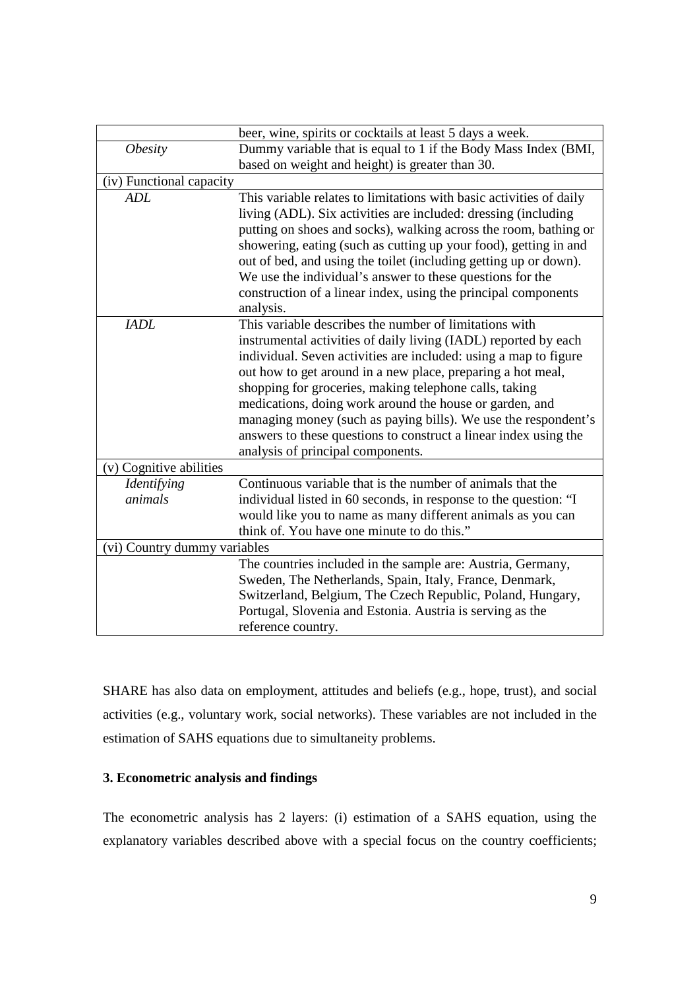|                              | beer, wine, spirits or cocktails at least 5 days a week.            |
|------------------------------|---------------------------------------------------------------------|
| <i><b>Obesity</b></i>        | Dummy variable that is equal to 1 if the Body Mass Index (BMI,      |
|                              | based on weight and height) is greater than 30.                     |
| (iv) Functional capacity     |                                                                     |
| <b>ADL</b>                   | This variable relates to limitations with basic activities of daily |
|                              | living (ADL). Six activities are included: dressing (including      |
|                              | putting on shoes and socks), walking across the room, bathing or    |
|                              | showering, eating (such as cutting up your food), getting in and    |
|                              | out of bed, and using the toilet (including getting up or down).    |
|                              | We use the individual's answer to these questions for the           |
|                              | construction of a linear index, using the principal components      |
|                              | analysis.                                                           |
| <b>IADL</b>                  | This variable describes the number of limitations with              |
|                              | instrumental activities of daily living (IADL) reported by each     |
|                              | individual. Seven activities are included: using a map to figure    |
|                              | out how to get around in a new place, preparing a hot meal,         |
|                              | shopping for groceries, making telephone calls, taking              |
|                              | medications, doing work around the house or garden, and             |
|                              | managing money (such as paying bills). We use the respondent's      |
|                              | answers to these questions to construct a linear index using the    |
|                              | analysis of principal components.                                   |
| (v) Cognitive abilities      |                                                                     |
| Identifying                  | Continuous variable that is the number of animals that the          |
| animals                      | individual listed in 60 seconds, in response to the question: "I    |
|                              | would like you to name as many different animals as you can         |
|                              | think of. You have one minute to do this."                          |
| (vi) Country dummy variables |                                                                     |
|                              | The countries included in the sample are: Austria, Germany,         |
|                              | Sweden, The Netherlands, Spain, Italy, France, Denmark,             |
|                              | Switzerland, Belgium, The Czech Republic, Poland, Hungary,          |
|                              | Portugal, Slovenia and Estonia. Austria is serving as the           |
|                              | reference country.                                                  |

SHARE has also data on employment, attitudes and beliefs (e.g., hope, trust), and social activities (e.g., voluntary work, social networks). These variables are not included in the estimation of SAHS equations due to simultaneity problems.

### **3. Econometric analysis and findings**

The econometric analysis has 2 layers: (i) estimation of a SAHS equation, using the explanatory variables described above with a special focus on the country coefficients;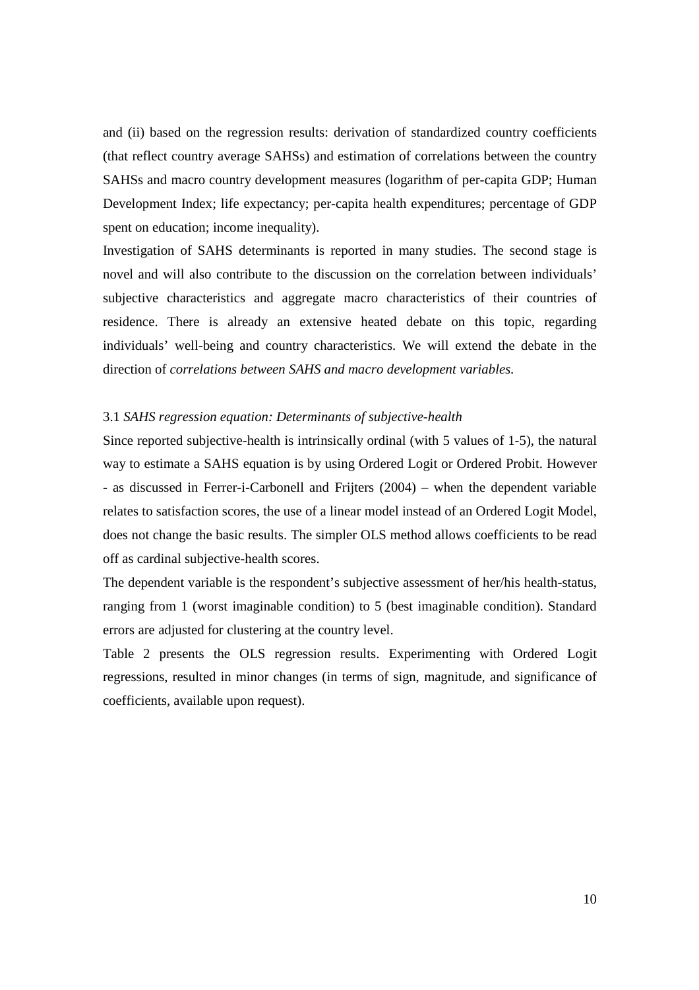and (ii) based on the regression results: derivation of standardized country coefficients (that reflect country average SAHSs) and estimation of correlations between the country SAHSs and macro country development measures (logarithm of per-capita GDP; Human Development Index; life expectancy; per-capita health expenditures; percentage of GDP spent on education; income inequality).

Investigation of SAHS determinants is reported in many studies. The second stage is novel and will also contribute to the discussion on the correlation between individuals' subjective characteristics and aggregate macro characteristics of their countries of residence. There is already an extensive heated debate on this topic, regarding individuals' well-being and country characteristics. We will extend the debate in the direction of *correlations between SAHS and macro development variables.* 

#### 3.1 *SAHS regression equation: Determinants of subjective-health*

Since reported subjective-health is intrinsically ordinal (with 5 values of 1-5), the natural way to estimate a SAHS equation is by using Ordered Logit or Ordered Probit. However - as discussed in Ferrer-i-Carbonell and Frijters (2004) – when the dependent variable relates to satisfaction scores, the use of a linear model instead of an Ordered Logit Model, does not change the basic results. The simpler OLS method allows coefficients to be read off as cardinal subjective-health scores.

The dependent variable is the respondent's subjective assessment of her/his health-status, ranging from 1 (worst imaginable condition) to 5 (best imaginable condition). Standard errors are adjusted for clustering at the country level.

Table 2 presents the OLS regression results. Experimenting with Ordered Logit regressions, resulted in minor changes (in terms of sign, magnitude, and significance of coefficients, available upon request).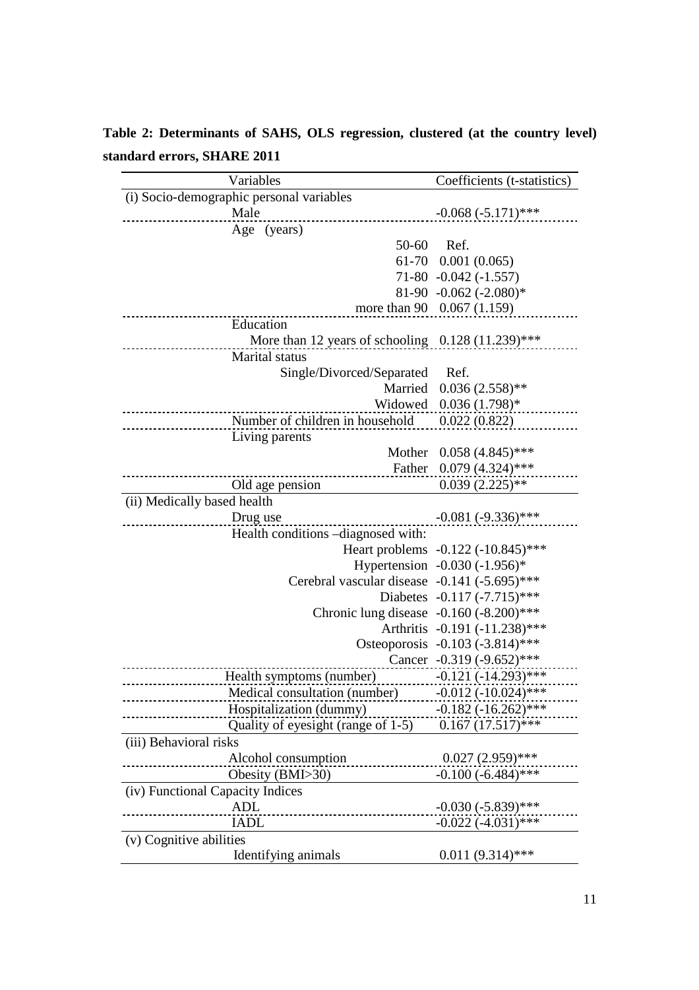**Table 2: Determinants of SAHS, OLS regression, clustered (at the country level) standard errors, SHARE 2011** 

| Variables                                           | Coefficients (t-statistics)                   |
|-----------------------------------------------------|-----------------------------------------------|
| (i) Socio-demographic personal variables            |                                               |
| Male                                                | $-0.068 (-5.171)$ ***                         |
| Age (years)                                         |                                               |
| 50-60                                               | Ref.                                          |
|                                                     | $61-70$ 0.001 (0.065)                         |
|                                                     | $71-80$ $-0.042$ $(-1.557)$                   |
|                                                     | 81-90 -0.062 $(-2.080)$ *                     |
|                                                     | more than 90 0.067 (1.159)                    |
| Education                                           |                                               |
| More than 12 years of schooling $0.128(11.239)$ *** |                                               |
| Marital status                                      |                                               |
| Single/Divorced/Separated                           | Ref.                                          |
| Married                                             | $0.036(2.558)$ **                             |
|                                                     | Widowed $0.036(1.798)*$                       |
| Number of children in household 0.022 (0.822)       |                                               |
| Living parents                                      |                                               |
| Mother                                              | $0.058(4.845)$ ***                            |
| Father                                              | $0.079(4.324)$ ***                            |
| Old age pension                                     | $0.039(2.225)$ **                             |
| (ii) Medically based health                         |                                               |
|                                                     |                                               |
| Drug use                                            | $-0.081(-9.336)$ ***                          |
| Health conditions -diagnosed with:                  |                                               |
|                                                     | Heart problems -0.122 (-10.845)***            |
|                                                     | Hypertension $-0.030$ $(-1.956)$ <sup>*</sup> |
| Cerebral vascular disease -0.141 (-5.695)***        |                                               |
|                                                     | Diabetes -0.117 (-7.715)***                   |
| Chronic lung disease -0.160 (-8.200)***             |                                               |
|                                                     | Arthritis -0.191 (-11.238)***                 |
|                                                     | Osteoporosis -0.103 (-3.814)***               |
|                                                     | Cancer -0.319 (-9.652)***                     |
| Health symptoms (number)                            | $-0.121(-14.293)***$                          |
| Medical consultation (number)                       | $-0.012 (-10.024)$ ***                        |
| Hospitalization (dummy)                             | $-0.182 (-16.262)$ ***                        |
| Quality of eyesight (range of 1-5)                  | $0.167(17.517)$ ***                           |
| (iii) Behavioral risks                              |                                               |
| Alcohol consumption                                 | $0.027(2.959)$ ***                            |
| Obesity (BMI>30)                                    | $-0.100 (-6.484)$ ***                         |
| (iv) Functional Capacity Indices                    |                                               |
| <b>ADL</b>                                          | $-0.030(-5.839)$ ***                          |
| <b>IADL</b>                                         | $-0.022(-4.031)$ ***                          |
| (v) Cognitive abilities                             |                                               |
| Identifying animals                                 | $0.011(9.314)$ ***                            |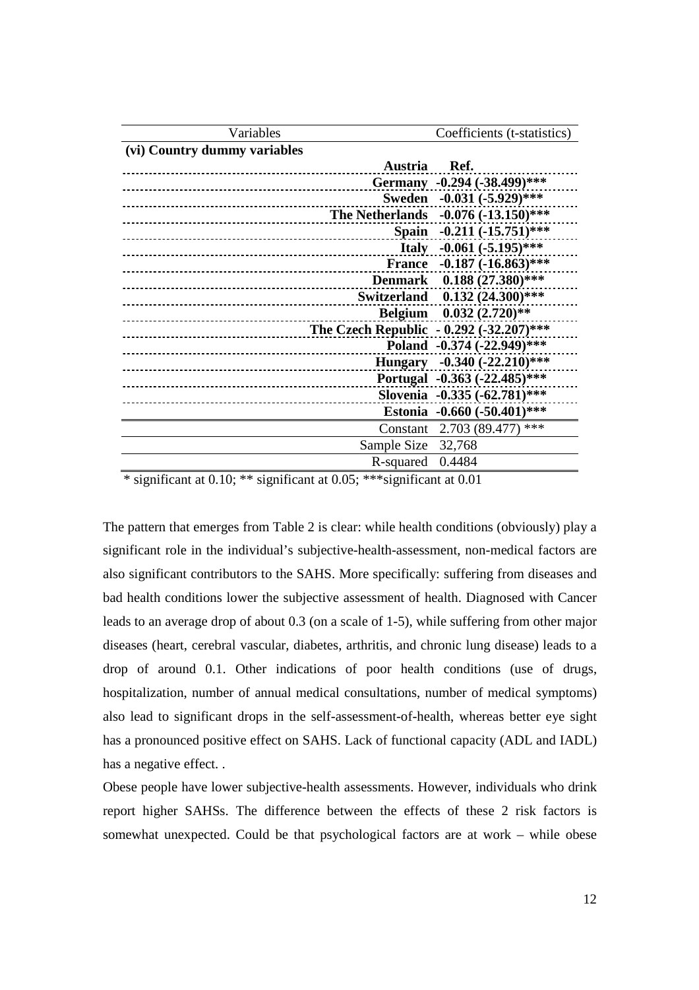| Variables                                             | Coefficients (t-statistics)   |
|-------------------------------------------------------|-------------------------------|
| (vi) Country dummy variables                          |                               |
| Austria Ref.                                          |                               |
|                                                       | Germany -0.294 (-38.499)***   |
| _____________________                                 | Sweden -0.031 (-5.929)***     |
| <b>The Netherlands</b>                                | $-0.076$ $(-13.150)$ ***      |
|                                                       | Spain -0.211 (-15.751)***     |
|                                                       | Italy $-0.061 (-5.195)$ ***   |
| <b>France</b><br>____________________________________ | $-0.187 (-16.863)$ ***        |
| ------------------------------                        | Denmark 0.188 (27.380)***     |
| ___________________________                           | Switzerland 0.132 (24.300)*** |
|                                                       | Belgium 0.032 (2.720)**       |
| The Czech Republic - $0.292$ (-32.207)***             |                               |
|                                                       | Poland -0.374 (-22.949)***    |
|                                                       | Hungary -0.340 (-22.210)***   |
|                                                       | Portugal -0.363 (-22.485)***  |
|                                                       | Slovenia -0.335 (-62.781)***  |
|                                                       | Estonia -0.660 (-50.401)***   |
|                                                       | Constant 2.703 (89.477) ***   |
| Sample Size                                           | 32,768                        |
| R-squared                                             | 0.4484                        |
|                                                       |                               |

\* significant at 0.10; \*\* significant at 0.05; \*\*\*significant at 0.01

The pattern that emerges from Table 2 is clear: while health conditions (obviously) play a significant role in the individual's subjective-health-assessment, non-medical factors are also significant contributors to the SAHS. More specifically: suffering from diseases and bad health conditions lower the subjective assessment of health. Diagnosed with Cancer leads to an average drop of about 0.3 (on a scale of 1-5), while suffering from other major diseases (heart, cerebral vascular, diabetes, arthritis, and chronic lung disease) leads to a drop of around 0.1. Other indications of poor health conditions (use of drugs, hospitalization, number of annual medical consultations, number of medical symptoms) also lead to significant drops in the self-assessment-of-health, whereas better eye sight has a pronounced positive effect on SAHS. Lack of functional capacity (ADL and IADL) has a negative effect...

Obese people have lower subjective-health assessments. However, individuals who drink report higher SAHSs. The difference between the effects of these 2 risk factors is somewhat unexpected. Could be that psychological factors are at work – while obese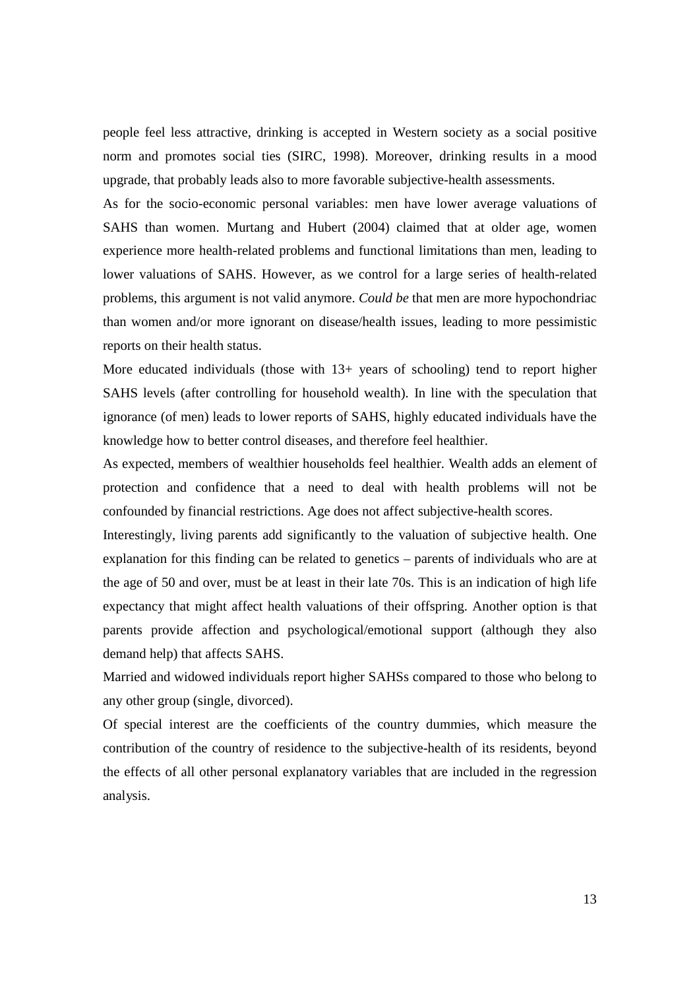people feel less attractive, drinking is accepted in Western society as a social positive norm and promotes social ties (SIRC, 1998). Moreover, drinking results in a mood upgrade, that probably leads also to more favorable subjective-health assessments.

As for the socio-economic personal variables: men have lower average valuations of SAHS than women. Murtang and Hubert (2004) claimed that at older age, women experience more health-related problems and functional limitations than men, leading to lower valuations of SAHS. However, as we control for a large series of health-related problems, this argument is not valid anymore. *Could be* that men are more hypochondriac than women and/or more ignorant on disease/health issues, leading to more pessimistic reports on their health status.

More educated individuals (those with  $13+$  years of schooling) tend to report higher SAHS levels (after controlling for household wealth). In line with the speculation that ignorance (of men) leads to lower reports of SAHS, highly educated individuals have the knowledge how to better control diseases, and therefore feel healthier.

As expected, members of wealthier households feel healthier. Wealth adds an element of protection and confidence that a need to deal with health problems will not be confounded by financial restrictions. Age does not affect subjective-health scores.

Interestingly, living parents add significantly to the valuation of subjective health. One explanation for this finding can be related to genetics – parents of individuals who are at the age of 50 and over, must be at least in their late 70s. This is an indication of high life expectancy that might affect health valuations of their offspring. Another option is that parents provide affection and psychological/emotional support (although they also demand help) that affects SAHS.

Married and widowed individuals report higher SAHSs compared to those who belong to any other group (single, divorced).

Of special interest are the coefficients of the country dummies, which measure the contribution of the country of residence to the subjective-health of its residents, beyond the effects of all other personal explanatory variables that are included in the regression analysis.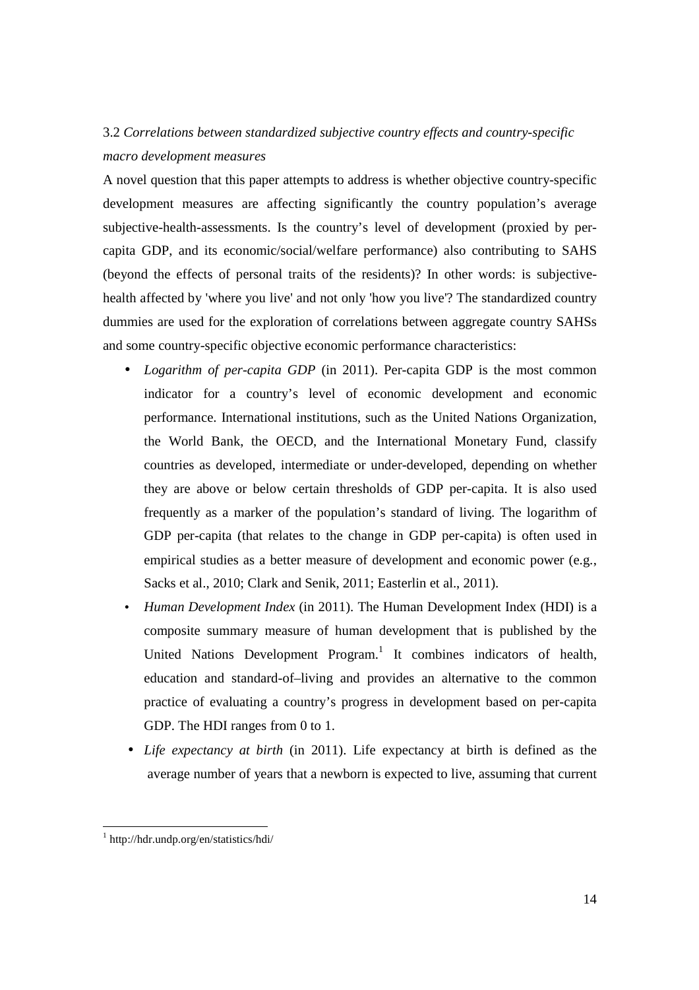# 3.2 *Correlations between standardized subjective country effects and country-specific macro development measures*

A novel question that this paper attempts to address is whether objective country-specific development measures are affecting significantly the country population's average subjective-health-assessments. Is the country's level of development (proxied by percapita GDP, and its economic/social/welfare performance) also contributing to SAHS (beyond the effects of personal traits of the residents)? In other words: is subjectivehealth affected by 'where you live' and not only 'how you live'? The standardized country dummies are used for the exploration of correlations between aggregate country SAHSs and some country-specific objective economic performance characteristics:

- *Logarithm of per-capita GDP* (in 2011). Per-capita GDP is the most common indicator for a country's level of economic development and economic performance. International institutions, such as the United Nations Organization, the World Bank, the OECD, and the International Monetary Fund, classify countries as developed, intermediate or under-developed, depending on whether they are above or below certain thresholds of GDP per-capita. It is also used frequently as a marker of the population's standard of living. The logarithm of GDP per-capita (that relates to the change in GDP per-capita) is often used in empirical studies as a better measure of development and economic power (e.g., Sacks et al., 2010; Clark and Senik, 2011; Easterlin et al., 2011).
- *Human Development Index* (in 2011). The Human Development Index (HDI) is a composite summary measure of human development that is published by the United Nations Development Program.<sup>1</sup> It combines indicators of health, education and standard-of–living and provides an alternative to the common practice of evaluating a country's progress in development based on per-capita GDP. The HDI ranges from 0 to 1.
- *Life expectancy at birth* (in 2011). Life expectancy at birth is defined as the average number of years that a newborn is expected to live, assuming that current

<u>.</u>

<sup>1</sup> http://hdr.undp.org/en/statistics/hdi/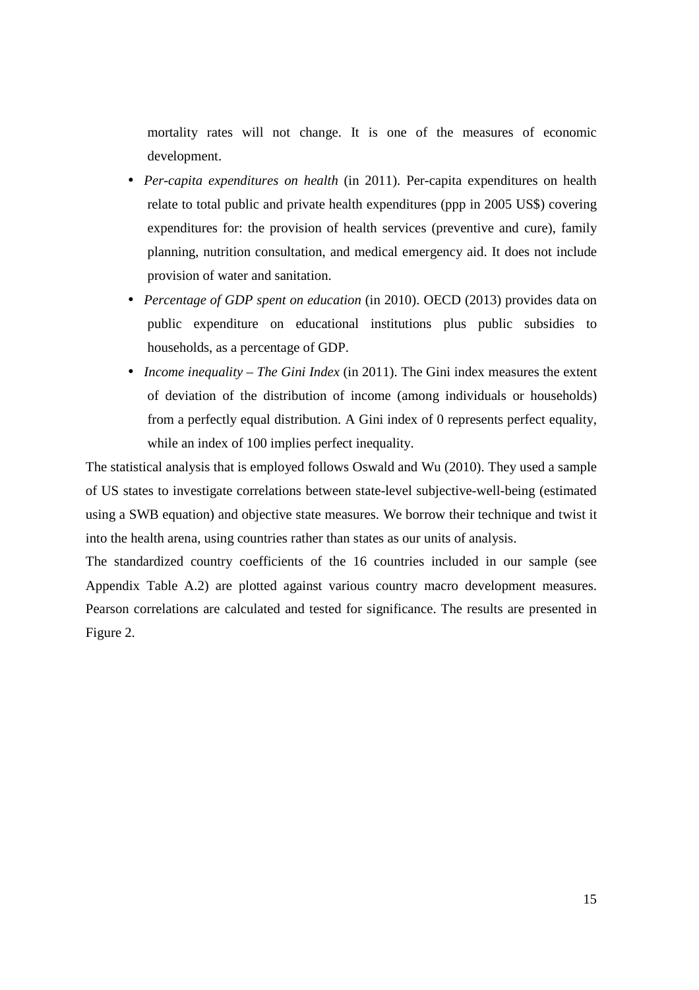mortality rates will not change. It is one of the measures of economic development.

- *Per-capita expenditures on health* (in 2011). Per-capita expenditures on health relate to total public and private health expenditures (ppp in 2005 US\$) covering expenditures for: the provision of health services (preventive and cure), family planning, nutrition consultation, and medical emergency aid. It does not include provision of water and sanitation.
- *Percentage of GDP spent on education* (in 2010). OECD (2013) provides data on public expenditure on educational institutions plus public subsidies to households, as a percentage of GDP.
- *Income inequality The Gini Index* (in 2011). The Gini index measures the extent of deviation of the distribution of income (among individuals or households) from a perfectly equal distribution. A Gini index of 0 represents perfect equality, while an index of 100 implies perfect inequality.

The statistical analysis that is employed follows Oswald and Wu (2010). They used a sample of US states to investigate correlations between state-level subjective-well-being (estimated using a SWB equation) and objective state measures. We borrow their technique and twist it into the health arena, using countries rather than states as our units of analysis.

The standardized country coefficients of the 16 countries included in our sample (see Appendix Table A.2) are plotted against various country macro development measures. Pearson correlations are calculated and tested for significance. The results are presented in Figure 2.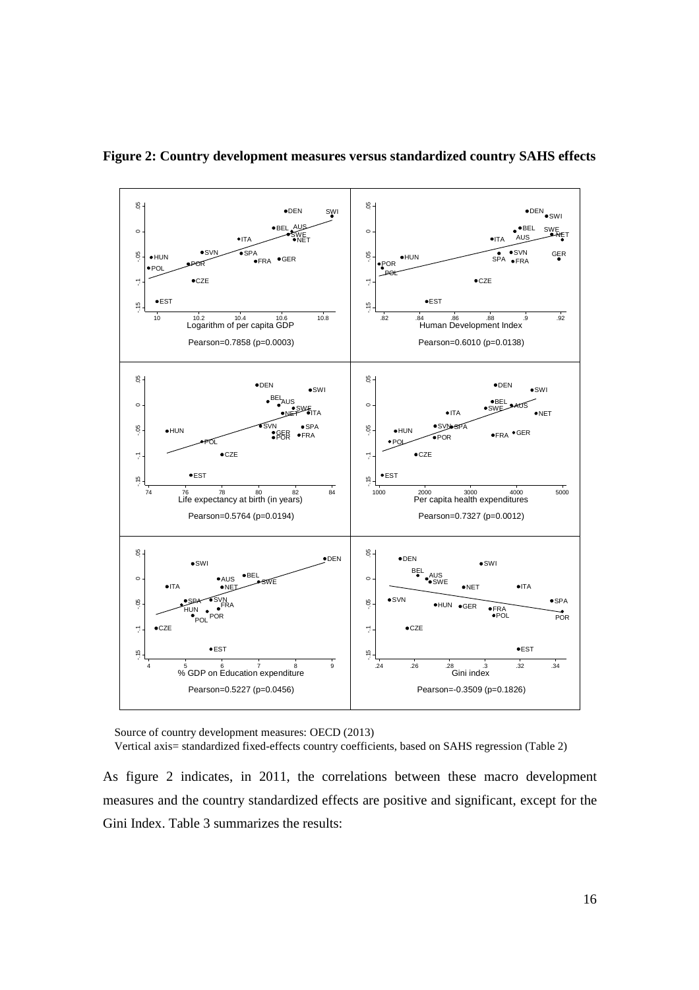

**Figure 2: Country development measures versus standardized country SAHS effects** 

 Source of country development measures: OECD (2013) Vertical axis= standardized fixed-effects country coefficients, based on SAHS regression (Table 2)

As figure 2 indicates, in 2011, the correlations between these macro development measures and the country standardized effects are positive and significant, except for the Gini Index. Table 3 summarizes the results: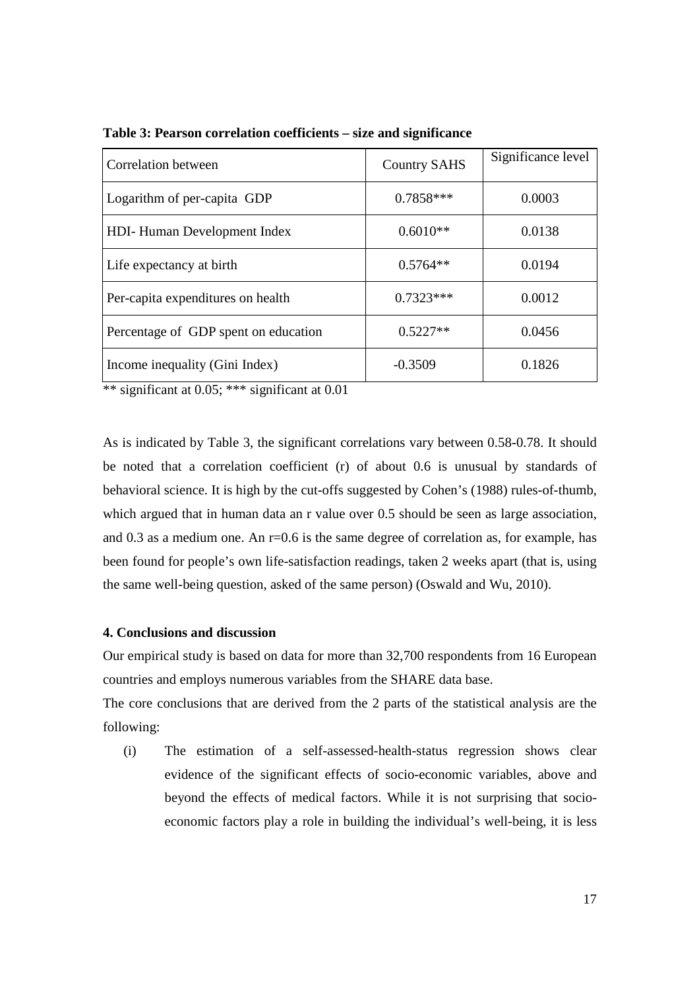| Correlation between                  | <b>Country SAHS</b> | Significance level |
|--------------------------------------|---------------------|--------------------|
| Logarithm of per-capita GDP          | $0.7858***$         | 0.0003             |
| HDI-Human Development Index          | $0.6010**$          | 0.0138             |
| Life expectancy at birth             | $0.5764**$          | 0.0194             |
| Per-capita expenditures on health    | $0.7323***$         | 0.0012             |
| Percentage of GDP spent on education | $0.5227**$          | 0.0456             |
| Income inequality (Gini Index)       | $-0.3509$           | 0.1826             |

**Table 3: Pearson correlation coefficients – size and significance** 

\*\* significant at 0.05; \*\*\* significant at 0.01

As is indicated by Table 3, the significant correlations vary between 0.58-0.78. It should be noted that a correlation coefficient (r) of about 0.6 is unusual by standards of behavioral science. It is high by the cut-offs suggested by Cohen's (1988) rules-of-thumb, which argued that in human data an r value over 0.5 should be seen as large association, and 0.3 as a medium one. An r=0.6 is the same degree of correlation as, for example, has been found for people's own life-satisfaction readings, taken 2 weeks apart (that is, using the same well-being question, asked of the same person) (Oswald and Wu, 2010).

#### **4. Conclusions and discussion**

Our empirical study is based on data for more than 32,700 respondents from 16 European countries and employs numerous variables from the SHARE data base.

The core conclusions that are derived from the 2 parts of the statistical analysis are the following:

(i) The estimation of a self-assessed-health-status regression shows clear evidence of the significant effects of socio-economic variables, above and beyond the effects of medical factors. While it is not surprising that socioeconomic factors play a role in building the individual's well-being, it is less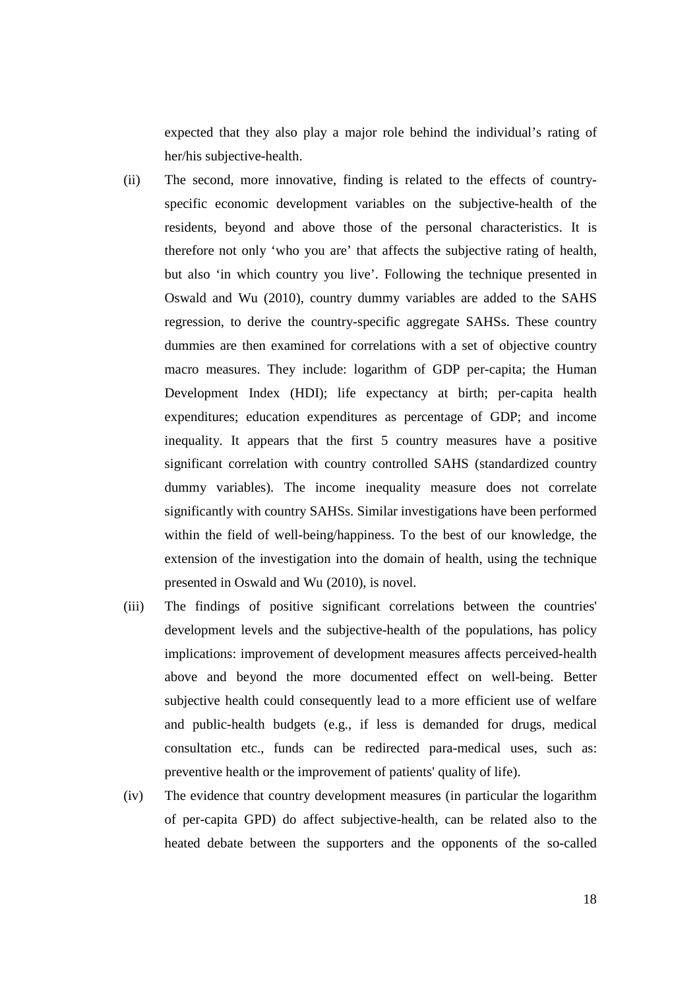expected that they also play a major role behind the individual's rating of her/his subjective-health.

- (ii) The second, more innovative, finding is related to the effects of countryspecific economic development variables on the subjective-health of the residents, beyond and above those of the personal characteristics. It is therefore not only 'who you are' that affects the subjective rating of health, but also 'in which country you live'. Following the technique presented in Oswald and Wu (2010), country dummy variables are added to the SAHS regression, to derive the country-specific aggregate SAHSs. These country dummies are then examined for correlations with a set of objective country macro measures. They include: logarithm of GDP per-capita; the Human Development Index (HDI); life expectancy at birth; per-capita health expenditures; education expenditures as percentage of GDP; and income inequality. It appears that the first 5 country measures have a positive significant correlation with country controlled SAHS (standardized country dummy variables). The income inequality measure does not correlate significantly with country SAHSs. Similar investigations have been performed within the field of well-being/happiness. To the best of our knowledge, the extension of the investigation into the domain of health, using the technique presented in Oswald and Wu (2010), is novel.
- (iii) The findings of positive significant correlations between the countries' development levels and the subjective-health of the populations, has policy implications: improvement of development measures affects perceived-health above and beyond the more documented effect on well-being. Better subjective health could consequently lead to a more efficient use of welfare and public-health budgets (e.g., if less is demanded for drugs, medical consultation etc., funds can be redirected para-medical uses, such as: preventive health or the improvement of patients' quality of life).
- (iv) The evidence that country development measures (in particular the logarithm of per-capita GPD) do affect subjective-health, can be related also to the heated debate between the supporters and the opponents of the so-called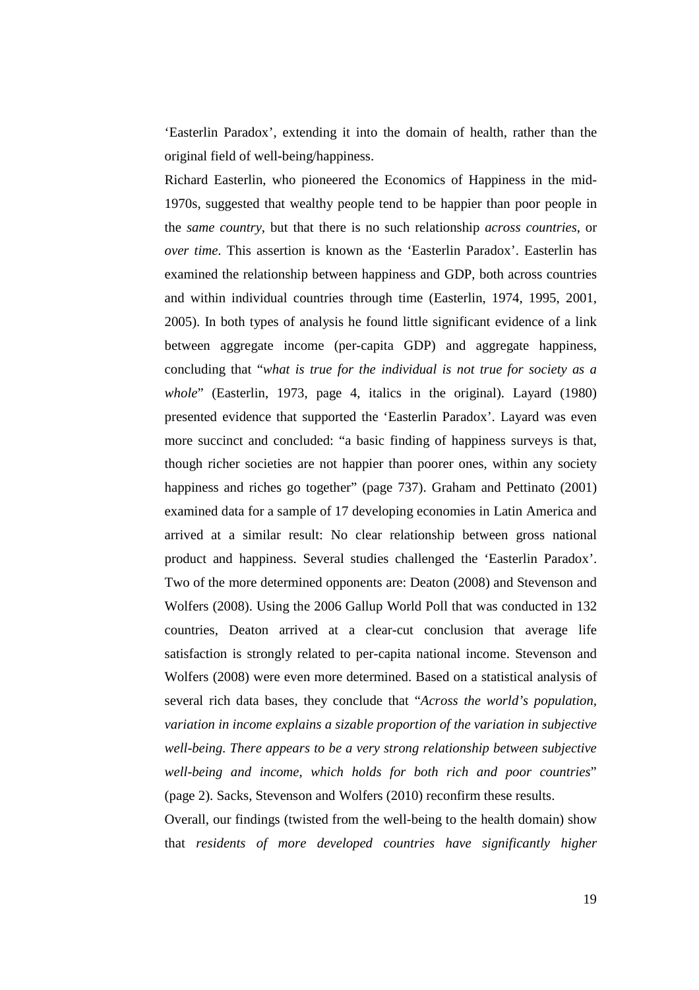'Easterlin Paradox', extending it into the domain of health, rather than the original field of well-being/happiness.

Richard Easterlin, who pioneered the Economics of Happiness in the mid-1970s, suggested that wealthy people tend to be happier than poor people in the *same country*, but that there is no such relationship *across countries*, or *over time*. This assertion is known as the 'Easterlin Paradox'. Easterlin has examined the relationship between happiness and GDP, both across countries and within individual countries through time (Easterlin, 1974, 1995, 2001, 2005). In both types of analysis he found little significant evidence of a link between aggregate income (per-capita GDP) and aggregate happiness, concluding that "*what is true for the individual is not true for society as a whole*" (Easterlin, 1973, page 4, italics in the original). Layard (1980) presented evidence that supported the 'Easterlin Paradox'. Layard was even more succinct and concluded: "a basic finding of happiness surveys is that, though richer societies are not happier than poorer ones, within any society happiness and riches go together" (page 737). Graham and Pettinato (2001) examined data for a sample of 17 developing economies in Latin America and arrived at a similar result: No clear relationship between gross national product and happiness. Several studies challenged the 'Easterlin Paradox'. Two of the more determined opponents are: Deaton (2008) and Stevenson and Wolfers (2008). Using the 2006 Gallup World Poll that was conducted in 132 countries, Deaton arrived at a clear-cut conclusion that average life satisfaction is strongly related to per-capita national income. Stevenson and Wolfers (2008) were even more determined. Based on a statistical analysis of several rich data bases, they conclude that "*Across the world's population, variation in income explains a sizable proportion of the variation in subjective well-being. There appears to be a very strong relationship between subjective well-being and income, which holds for both rich and poor countries*" (page 2). Sacks, Stevenson and Wolfers (2010) reconfirm these results.

Overall, our findings (twisted from the well-being to the health domain) show that *residents of more developed countries have significantly higher*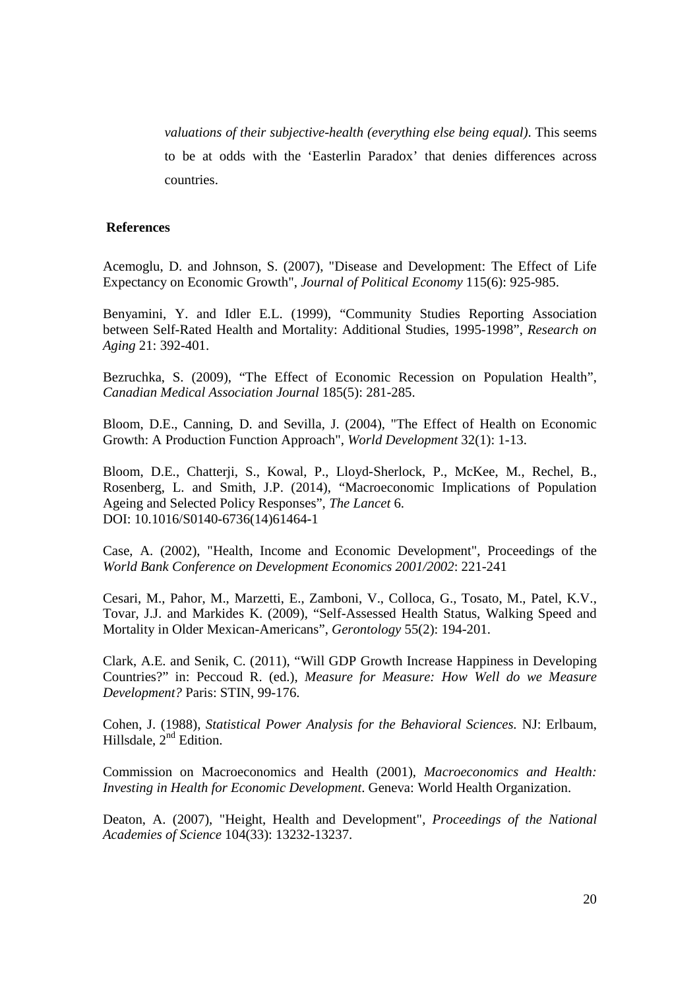*valuations of their subjective-health (everything else being equal)*. This seems to be at odds with the 'Easterlin Paradox' that denies differences across countries.

#### **References**

Acemoglu, D. and Johnson, S. (2007), "Disease and Development: The Effect of Life Expectancy on Economic Growth", *Journal of Political Economy* 115(6): 925-985.

Benyamini, Y. and Idler E.L. (1999), "Community Studies Reporting Association between Self-Rated Health and Mortality: Additional Studies, 1995-1998", *Research on Aging* 21: 392-401.

Bezruchka, S. (2009), "The Effect of Economic Recession on Population Health", *Canadian Medical Association Journal* 185(5): 281-285.

Bloom, D.E., Canning, D. and Sevilla, J. (2004), "The Effect of Health on Economic Growth: A Production Function Approach", *World Development* 32(1): 1-13.

Bloom, D.E., Chatterji, S., Kowal, P., Lloyd-Sherlock, P., McKee, M., Rechel, B., Rosenberg, L. and Smith, J.P. (2014), "Macroeconomic Implications of Population Ageing and Selected Policy Responses", *The Lancet* 6. DOI: 10.1016/S0140-6736(14)61464-1

Case, A. (2002), "Health, Income and Economic Development", Proceedings of the *World Bank Conference on Development Economics 2001/2002*: 221-241

Cesari, M., Pahor, M., Marzetti, E., Zamboni, V., Colloca, G., Tosato, M., Patel, K.V., Tovar, J.J. and Markides K. (2009), "Self-Assessed Health Status, Walking Speed and Mortality in Older Mexican-Americans", *Gerontology* 55(2): 194-201.

Clark, A.E. and Senik, C. (2011), "Will GDP Growth Increase Happiness in Developing Countries?" in: Peccoud R. (ed.), *Measure for Measure: How Well do we Measure Development?* Paris: STIN, 99-176.

Cohen, J. (1988), *Statistical Power Analysis for the Behavioral Sciences.* NJ: Erlbaum, Hillsdale,  $2<sup>nd</sup>$  Edition.

Commission on Macroeconomics and Health (2001), *Macroeconomics and Health: Investing in Health for Economic Development*. Geneva: World Health Organization.

Deaton, A. (2007), "Height, Health and Development", *Proceedings of the National Academies of Science* 104(33): 13232-13237.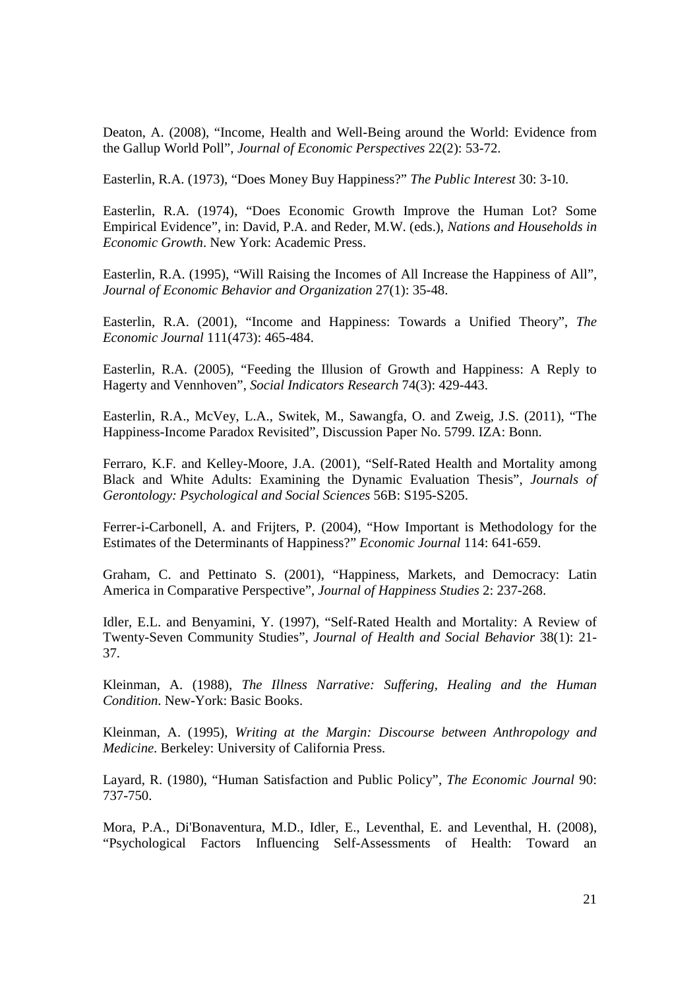Deaton, A. (2008), "Income, Health and Well-Being around the World: Evidence from the Gallup World Poll", *Journal of Economic Perspectives* 22(2): 53-72.

Easterlin, R.A. (1973), "Does Money Buy Happiness?" *The Public Interest* 30: 3-10.

Easterlin, R.A. (1974), "Does Economic Growth Improve the Human Lot? Some Empirical Evidence", in: David, P.A. and Reder, M.W. (eds.), *Nations and Households in Economic Growth*. New York: Academic Press.

Easterlin, R.A. (1995), "Will Raising the Incomes of All Increase the Happiness of All", *Journal of Economic Behavior and Organization* 27(1): 35-48.

Easterlin, R.A. (2001), "Income and Happiness: Towards a Unified Theory", *The Economic Journal* 111(473): 465-484.

Easterlin, R.A. (2005), "Feeding the Illusion of Growth and Happiness: A Reply to Hagerty and Vennhoven", *Social Indicators Research* 74(3): 429-443.

Easterlin, R.A., McVey, L.A., Switek, M., Sawangfa, O. and Zweig, J.S. (2011), "The Happiness-Income Paradox Revisited", Discussion Paper No. 5799. IZA: Bonn.

Ferraro, K.F. and Kelley-Moore, J.A. (2001), "Self-Rated Health and Mortality among Black and White Adults: Examining the Dynamic Evaluation Thesis", *Journals of Gerontology: Psychological and Social Sciences* 56B: S195-S205.

Ferrer-i-Carbonell, A. and Frijters, P. (2004), "How Important is Methodology for the Estimates of the Determinants of Happiness?" *Economic Journal* 114: 641-659.

Graham, C. and Pettinato S. (2001), "Happiness, Markets, and Democracy: Latin America in Comparative Perspective", *Journal of Happiness Studies* 2: 237-268.

Idler, E.L. and Benyamini, Y. (1997), "Self-Rated Health and Mortality: A Review of Twenty-Seven Community Studies", *Journal of Health and Social Behavior* 38(1): 21- 37.

Kleinman, A. (1988), *The Illness Narrative: Suffering, Healing and the Human Condition*. New-York: Basic Books.

Kleinman, A. (1995), *Writing at the Margin: Discourse between Anthropology and Medicine*. Berkeley: University of California Press.

Layard, R. (1980), "Human Satisfaction and Public Policy", *The Economic Journal* 90: 737-750.

Mora, P.A., Di'Bonaventura, M.D., Idler, E., Leventhal, E. and Leventhal, H. (2008), "Psychological Factors Influencing Self-Assessments of Health: Toward an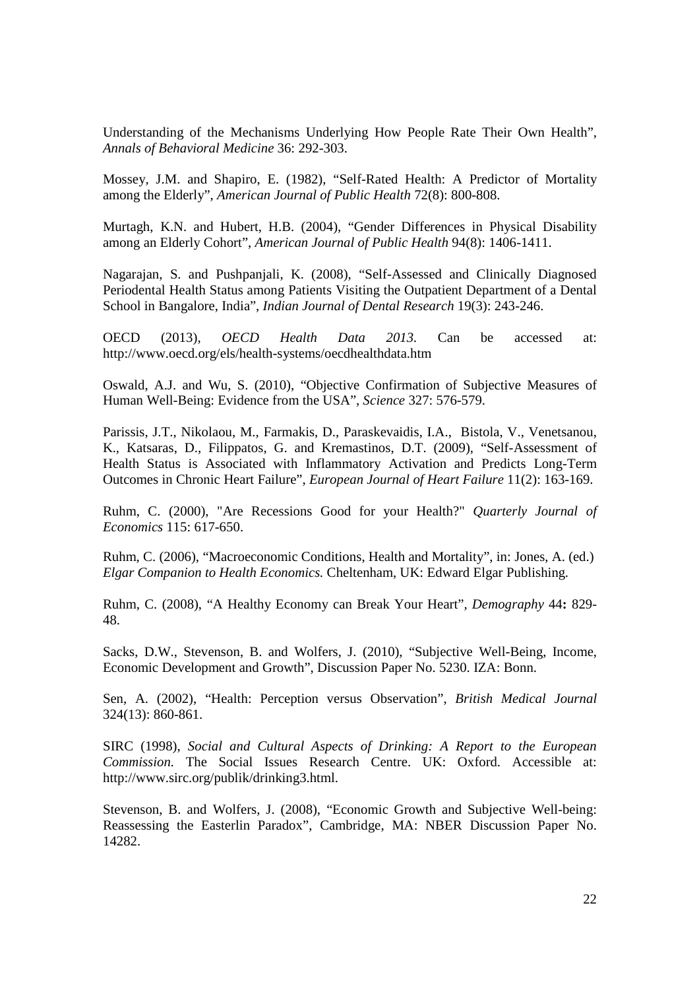Understanding of the Mechanisms Underlying How People Rate Their Own Health", *Annals of Behavioral Medicine* 36: 292-303.

Mossey, J.M. and Shapiro, E. (1982), "Self-Rated Health: A Predictor of Mortality among the Elderly", *American Journal of Public Health* 72(8): 800-808.

Murtagh, K.N. and Hubert, H.B. (2004), "Gender Differences in Physical Disability among an Elderly Cohort", *American Journal of Public Health* 94(8): 1406-1411.

Nagarajan, S. and Pushpanjali, K. (2008), "Self-Assessed and Clinically Diagnosed Periodental Health Status among Patients Visiting the Outpatient Department of a Dental School in Bangalore, India", *Indian Journal of Dental Research* 19(3): 243-246.

OECD (2013), *OECD Health Data 2013.* Can be accessed at: http://www.oecd.org/els/health-systems/oecdhealthdata.htm

Oswald, A.J. and Wu, S. (2010), "Objective Confirmation of Subjective Measures of Human Well-Being: Evidence from the USA", *Science* 327: 576-579.

Parissis, J.T., Nikolaou, M., Farmakis, D., Paraskevaidis, I.A., Bistola, V., Venetsanou, K., Katsaras, D., Filippatos, G. and Kremastinos, D.T. (2009), "Self-Assessment of Health Status is Associated with Inflammatory Activation and Predicts Long-Term Outcomes in Chronic Heart Failure", *European Journal of Heart Failure* 11(2): 163-169.

Ruhm, C. (2000), "Are Recessions Good for your Health?" *Quarterly Journal of Economics* 115: 617-650.

Ruhm, C. (2006), "Macroeconomic Conditions, Health and Mortality", in: Jones, A. (ed.) *Elgar Companion to Health Economics.* Cheltenham, UK: Edward Elgar Publishing.

Ruhm, C. (2008), "A Healthy Economy can Break Your Heart", *Demography* 44**:** 829- 48.

Sacks, D.W., Stevenson, B. and Wolfers, J. (2010), "Subjective Well-Being, Income, Economic Development and Growth", Discussion Paper No. 5230. IZA: Bonn.

Sen, A. (2002), "Health: Perception versus Observation", *British Medical Journal* 324(13): 860-861.

SIRC (1998), *Social and Cultural Aspects of Drinking: A Report to the European Commission.* The Social Issues Research Centre. UK: Oxford. Accessible at: http://www.sirc.org/publik/drinking3.html.

Stevenson, B. and Wolfers, J. (2008), "Economic Growth and Subjective Well-being: Reassessing the Easterlin Paradox", Cambridge, MA: NBER Discussion Paper No. 14282.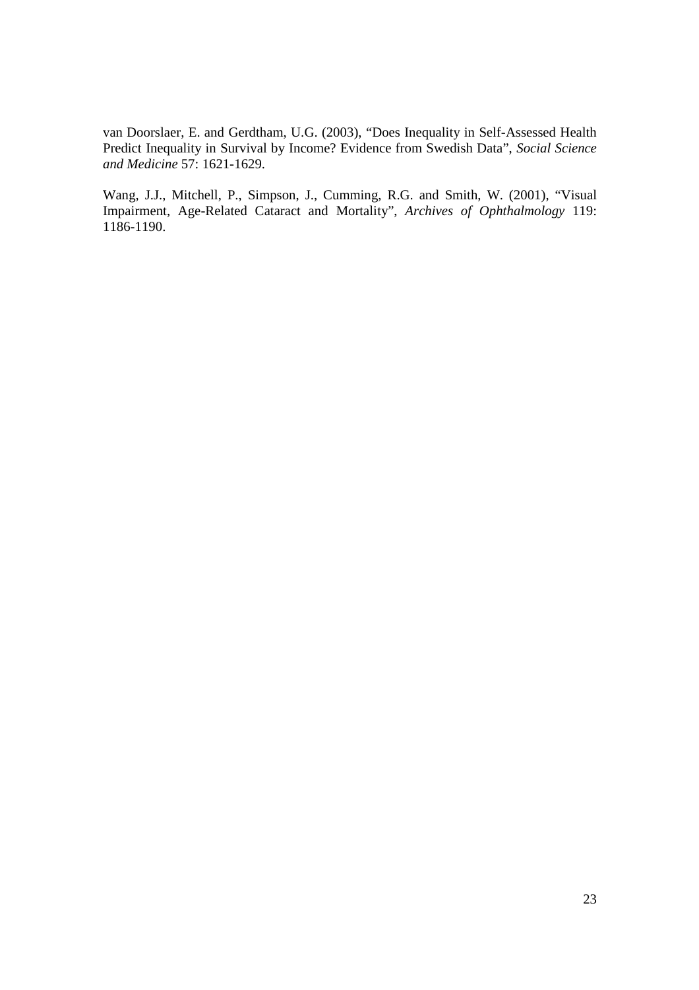van Doorslaer, E. and Gerdtham, U.G. (2003), "Does Inequality in Self-Assessed Health Predict Inequality in Survival by Income? Evidence from Swedish Data", *Social Science and Medicine* 57: 1621-1629.

Wang, J.J., Mitchell, P., Simpson, J., Cumming, R.G. and Smith, W. (2001), "Visual Impairment, Age-Related Cataract and Mortality", *Archives of Ophthalmology* 119: 1186-1190.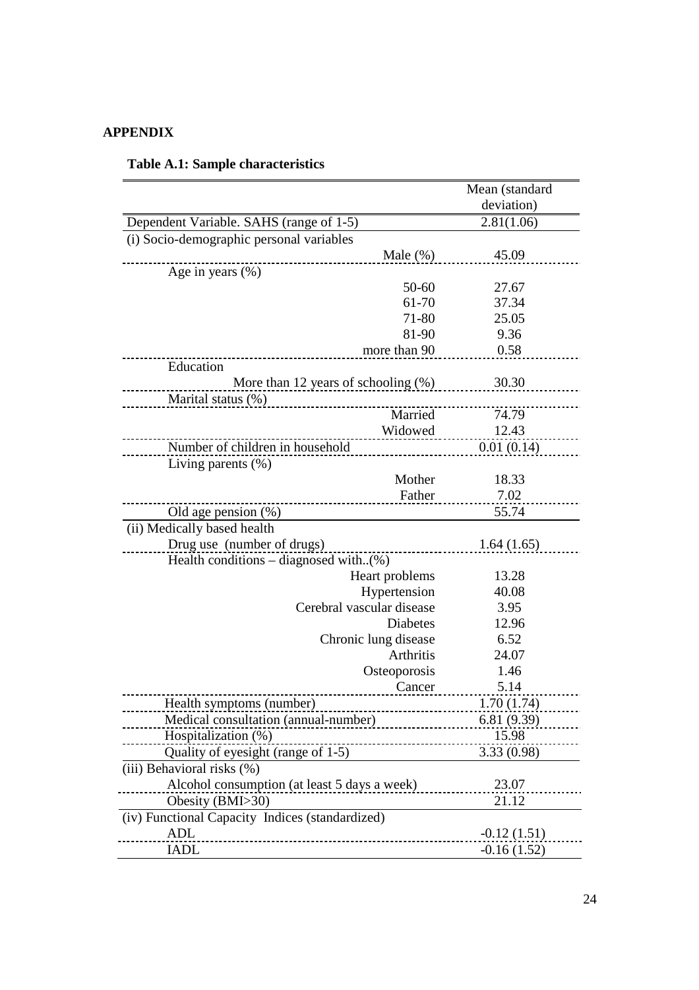# **APPENDIX**

|                                                 | Mean (standard |
|-------------------------------------------------|----------------|
|                                                 | deviation)     |
| Dependent Variable. SAHS (range of 1-5)         | 2.81(1.06)     |
| (i) Socio-demographic personal variables        |                |
| Male $(\%)$                                     | 45.09          |
| Age in years $(\% )$                            |                |
| 50-60                                           | 27.67          |
| 61-70                                           | 37.34          |
| 71-80                                           | 25.05          |
| 81-90                                           | 9.36           |
| more than 90                                    | 0.58           |
| Education                                       |                |
| More than 12 years of schooling $(\%)$          | 30.30          |
| Marital status (%)                              |                |
| Married                                         | 74.79          |
| Widowed                                         | 12.43          |
| Number of children in household                 | 0.01(0.14)     |
| Living parents $(\%)$                           |                |
| Mother                                          | 18.33          |
| Father                                          | 7.02           |
| Old age pension $(\%)$                          | 55.74          |
| (ii) Medically based health                     |                |
| Drug use (number of drugs)                      | 1.64(1.65)     |
| Health conditions – diagnosed with $(\%)$       |                |
| Heart problems                                  | 13.28          |
| Hypertension                                    | 40.08          |
| Cerebral vascular disease                       | 3.95           |
| <b>Diabetes</b>                                 | 12.96          |
| Chronic lung disease                            | 6.52           |
| Arthritis                                       | 24.07          |
| Osteoporosis                                    | 1.46           |
| Cancer                                          | 5.14           |
| Health symptoms (number)                        | 1.70(1.74)     |
| Medical consultation (annual-number)            | 6.81(9.39)     |
| Hospitalization (%)                             | 15.98          |
| Quality of eyesight (range of 1-5)              | 3.33(0.98)     |
| (iii) Behavioral risks (%)                      |                |
| Alcohol consumption (at least 5 days a week)    | 23.07          |
| Obesity (BMI>30)                                | 21.12          |
| (iv) Functional Capacity Indices (standardized) |                |
| ADL<br>---------------------------------        | $-0.12(1.51)$  |
| IADL                                            | $-0.16(1.52)$  |

### **Table A.1: Sample characteristics**